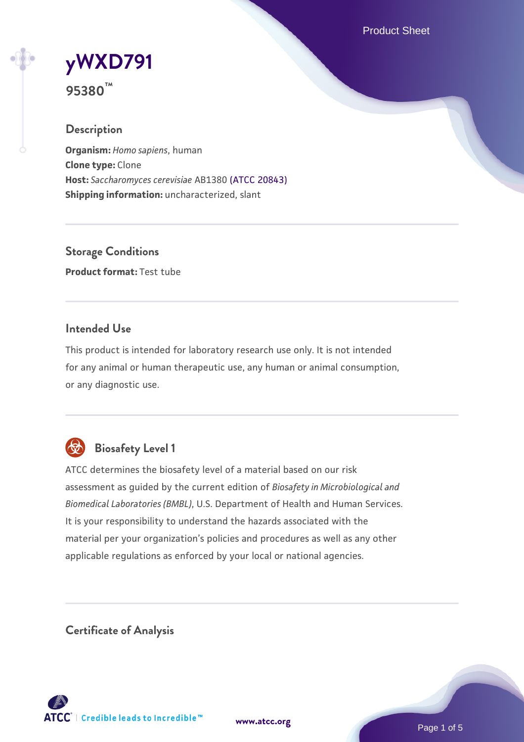Product Sheet

# **[yWXD791](https://www.atcc.org/products/95380)**

**95380™**

# **Description**

**Organism:** *Homo sapiens*, human **Clone type:** Clone **Host:** *Saccharomyces cerevisiae* AB1380 [\(ATCC 20843\)](https://www.atcc.org/products/20843) **Shipping information:** uncharacterized, slant

**Storage Conditions Product format:** Test tube

### **Intended Use**

This product is intended for laboratory research use only. It is not intended for any animal or human therapeutic use, any human or animal consumption, or any diagnostic use.



# **Biosafety Level 1**

ATCC determines the biosafety level of a material based on our risk assessment as guided by the current edition of *Biosafety in Microbiological and Biomedical Laboratories (BMBL)*, U.S. Department of Health and Human Services. It is your responsibility to understand the hazards associated with the material per your organization's policies and procedures as well as any other applicable regulations as enforced by your local or national agencies.

**Certificate of Analysis**

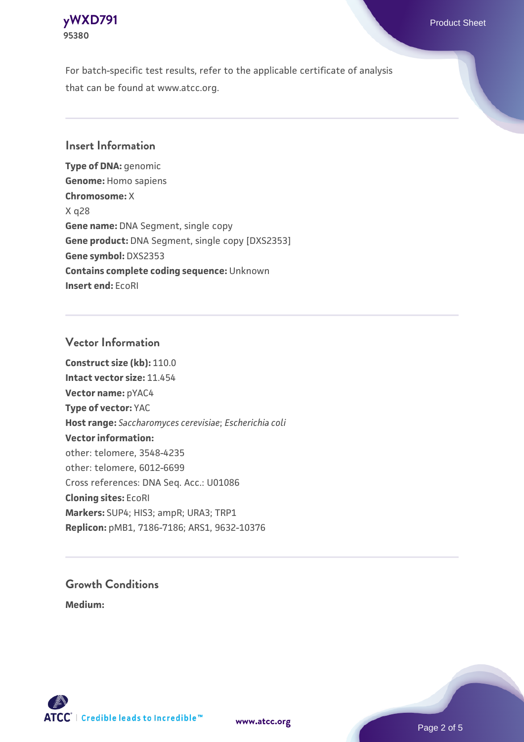

For batch-specific test results, refer to the applicable certificate of analysis that can be found at www.atcc.org.

#### **Insert Information**

**Type of DNA:** genomic **Genome:** Homo sapiens **Chromosome:** X X q28 **Gene name:** DNA Segment, single copy **Gene product:** DNA Segment, single copy [DXS2353] **Gene symbol:** DXS2353 **Contains complete coding sequence:** Unknown **Insert end:** EcoRI

#### **Vector Information**

**Construct size (kb):** 110.0 **Intact vector size:** 11.454 **Vector name:** pYAC4 **Type of vector:** YAC **Host range:** *Saccharomyces cerevisiae*; *Escherichia coli* **Vector information:** other: telomere, 3548-4235 other: telomere, 6012-6699 Cross references: DNA Seq. Acc.: U01086 **Cloning sites:** EcoRI **Markers:** SUP4; HIS3; ampR; URA3; TRP1 **Replicon:** pMB1, 7186-7186; ARS1, 9632-10376

# **Growth Conditions**

**Medium:** 



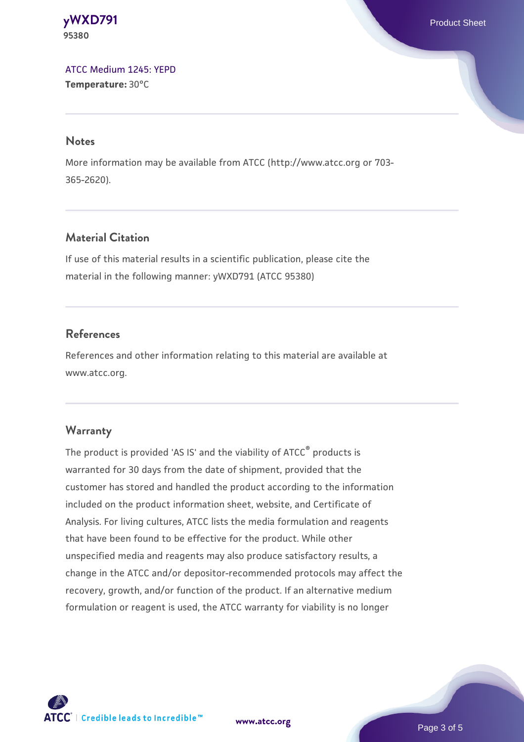**[yWXD791](https://www.atcc.org/products/95380)** Product Sheet **95380**

[ATCC Medium 1245: YEPD](https://www.atcc.org/-/media/product-assets/documents/microbial-media-formulations/1/2/4/5/atcc-medium-1245.pdf?rev=705ca55d1b6f490a808a965d5c072196) **Temperature:** 30°C

#### **Notes**

More information may be available from ATCC (http://www.atcc.org or 703- 365-2620).

### **Material Citation**

If use of this material results in a scientific publication, please cite the material in the following manner: yWXD791 (ATCC 95380)

#### **References**

References and other information relating to this material are available at www.atcc.org.

#### **Warranty**

The product is provided 'AS IS' and the viability of ATCC® products is warranted for 30 days from the date of shipment, provided that the customer has stored and handled the product according to the information included on the product information sheet, website, and Certificate of Analysis. For living cultures, ATCC lists the media formulation and reagents that have been found to be effective for the product. While other unspecified media and reagents may also produce satisfactory results, a change in the ATCC and/or depositor-recommended protocols may affect the recovery, growth, and/or function of the product. If an alternative medium formulation or reagent is used, the ATCC warranty for viability is no longer



**[www.atcc.org](http://www.atcc.org)**

Page 3 of 5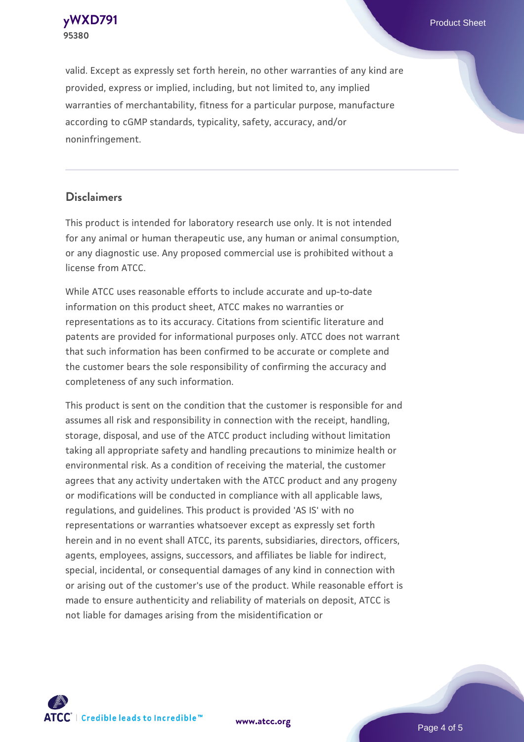

valid. Except as expressly set forth herein, no other warranties of any kind are provided, express or implied, including, but not limited to, any implied warranties of merchantability, fitness for a particular purpose, manufacture according to cGMP standards, typicality, safety, accuracy, and/or noninfringement.

#### **Disclaimers**

This product is intended for laboratory research use only. It is not intended for any animal or human therapeutic use, any human or animal consumption, or any diagnostic use. Any proposed commercial use is prohibited without a license from ATCC.

While ATCC uses reasonable efforts to include accurate and up-to-date information on this product sheet, ATCC makes no warranties or representations as to its accuracy. Citations from scientific literature and patents are provided for informational purposes only. ATCC does not warrant that such information has been confirmed to be accurate or complete and the customer bears the sole responsibility of confirming the accuracy and completeness of any such information.

This product is sent on the condition that the customer is responsible for and assumes all risk and responsibility in connection with the receipt, handling, storage, disposal, and use of the ATCC product including without limitation taking all appropriate safety and handling precautions to minimize health or environmental risk. As a condition of receiving the material, the customer agrees that any activity undertaken with the ATCC product and any progeny or modifications will be conducted in compliance with all applicable laws, regulations, and guidelines. This product is provided 'AS IS' with no representations or warranties whatsoever except as expressly set forth herein and in no event shall ATCC, its parents, subsidiaries, directors, officers, agents, employees, assigns, successors, and affiliates be liable for indirect, special, incidental, or consequential damages of any kind in connection with or arising out of the customer's use of the product. While reasonable effort is made to ensure authenticity and reliability of materials on deposit, ATCC is not liable for damages arising from the misidentification or



**[www.atcc.org](http://www.atcc.org)**

Page 4 of 5